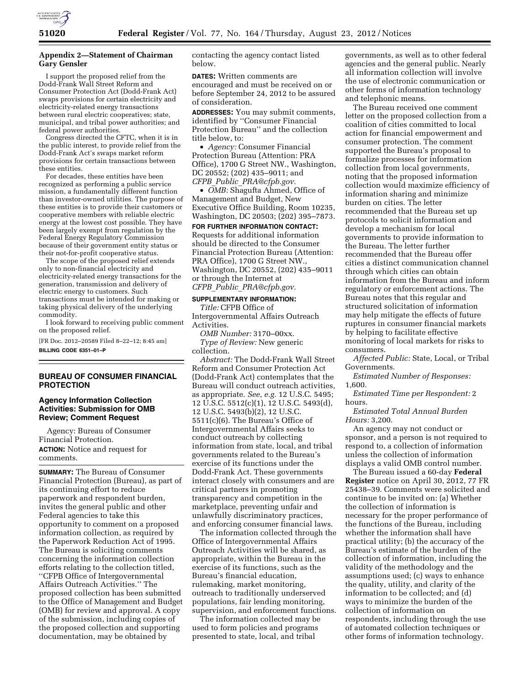

# **Appendix 2—Statement of Chairman Gary Gensler**

I support the proposed relief from the Dodd-Frank Wall Street Reform and Consumer Protection Act (Dodd-Frank Act) swaps provisions for certain electricity and electricity-related energy transactions between rural electric cooperatives; state, municipal, and tribal power authorities; and federal power authorities.

Congress directed the CFTC, when it is in the public interest, to provide relief from the Dodd-Frank Act's swaps market reform provisions for certain transactions between these entities.

For decades, these entities have been recognized as performing a public service mission, a fundamentally different function than investor-owned utilities. The purpose of these entities is to provide their customers or cooperative members with reliable electric energy at the lowest cost possible. They have been largely exempt from regulation by the Federal Energy Regulatory Commission because of their government entity status or their not-for-profit cooperative status.

The scope of the proposed relief extends only to non-financial electricity and electricity-related energy transactions for the generation, transmission and delivery of electric energy to customers. Such transactions must be intended for making or taking physical delivery of the underlying commodity.

I look forward to receiving public comment on the proposed relief.

[FR Doc. 2012–20589 Filed 8–22–12; 8:45 am] **BILLING CODE 6351–01–P** 

## **BUREAU OF CONSUMER FINANCIAL PROTECTION**

#### **Agency Information Collection Activities: Submission for OMB Review; Comment Request**

Agency: Bureau of Consumer Financial Protection. **ACTION:** Notice and request for comments.

**SUMMARY:** The Bureau of Consumer Financial Protection (Bureau), as part of its continuing effort to reduce paperwork and respondent burden, invites the general public and other Federal agencies to take this opportunity to comment on a proposed information collection, as required by the Paperwork Reduction Act of 1995. The Bureau is soliciting comments concerning the information collection efforts relating to the collection titled, ''CFPB Office of Intergovernmental Affairs Outreach Activities.'' The proposed collection has been submitted to the Office of Management and Budget (OMB) for review and approval. A copy of the submission, including copies of the proposed collection and supporting documentation, may be obtained by

contacting the agency contact listed below.

**DATES:** Written comments are encouraged and must be received on or before September 24, 2012 to be assured of consideration.

**ADDRESSES:** You may submit comments, identified by ''Consumer Financial Protection Bureau'' and the collection title below, to:

• *Agency:* Consumer Financial Protection Bureau (Attention: PRA Office), 1700 G Street NW., Washington, DC 20552; (202) 435–9011; and *CFPB*\_*Public*\_*[PRA@cfpb.gov.](mailto:CFPB_Public_PRA@cfpb.gov)* 

• *OMB:* Shagufta Ahmed, Office of Management and Budget, New Executive Office Building, Room 10235, Washington, DC 20503; (202) 395–7873.

### **FOR FURTHER INFORMATION CONTACT:**  Requests for additional information should be directed to the Consumer Financial Protection Bureau (Attention: PRA Office), 1700 G Street NW., Washington, DC 20552, (202) 435–9011 or through the Internet at *CFPB*\_*Public*\_*[PRA@cfpb.gov.](mailto:CFPB_Public_PRA@cfpb.gov)*

#### **SUPPLEMENTARY INFORMATION:**

*Title:* CFPB Office of Intergovernmental Affairs Outreach Activities.

*OMB Number:* 3170–00xx. *Type of Review:* New generic collection.

*Abstract:* The Dodd-Frank Wall Street Reform and Consumer Protection Act (Dodd-Frank Act) contemplates that the Bureau will conduct outreach activities, as appropriate. *See, e.g.* 12 U.S.C. 5495; 12 U.S.C. 5512(c)(1), 12 U.S.C. 5493(d), 12 U.S.C. 5493(b)(2), 12 U.S.C. 5511(c)(6). The Bureau's Office of Intergovernmental Affairs seeks to conduct outreach by collecting information from state, local, and tribal governments related to the Bureau's exercise of its functions under the Dodd-Frank Act. These governments interact closely with consumers and are critical partners in promoting transparency and competition in the marketplace, preventing unfair and unlawfully discriminatory practices, and enforcing consumer financial laws.

The information collected through the Office of Intergovernmental Affairs Outreach Activities will be shared, as appropriate, within the Bureau in the exercise of its functions, such as the Bureau's financial education, rulemaking, market monitoring, outreach to traditionally underserved populations, fair lending monitoring, supervision, and enforcement functions.

The information collected may be used to form policies and programs presented to state, local, and tribal

governments, as well as to other federal agencies and the general public. Nearly all information collection will involve the use of electronic communication or other forms of information technology and telephonic means.

The Bureau received one comment letter on the proposed collection from a coalition of cities committed to local action for financial empowerment and consumer protection. The comment supported the Bureau's proposal to formalize processes for information collection from local governments, noting that the proposed information collection would maximize efficiency of information sharing and minimize burden on cities. The letter recommended that the Bureau set up protocols to solicit information and develop a mechanism for local governments to provide information to the Bureau. The letter further recommended that the Bureau offer cities a distinct communication channel through which cities can obtain information from the Bureau and inform regulatory or enforcement actions. The Bureau notes that this regular and structured solicitation of information may help mitigate the effects of future ruptures in consumer financial markets by helping to facilitate effective monitoring of local markets for risks to consumers.

*Affected Public:* State, Local, or Tribal Governments.

*Estimated Number of Responses:*  1,600.

*Estimated Time per Respondent:* 2 hours.

*Estimated Total Annual Burden Hours:* 3,200.

An agency may not conduct or sponsor, and a person is not required to respond to, a collection of information unless the collection of information displays a valid OMB control number.

The Bureau issued a 60-day **Federal Register** notice on April 30, 2012, 77 FR 25438–39. Comments were solicited and continue to be invited on: (a) Whether the collection of information is necessary for the proper performance of the functions of the Bureau, including whether the information shall have practical utility; (b) the accuracy of the Bureau's estimate of the burden of the collection of information, including the validity of the methodology and the assumptions used; (c) ways to enhance the quality, utility, and clarity of the information to be collected; and (d) ways to minimize the burden of the collection of information on respondents, including through the use of automated collection techniques or other forms of information technology.